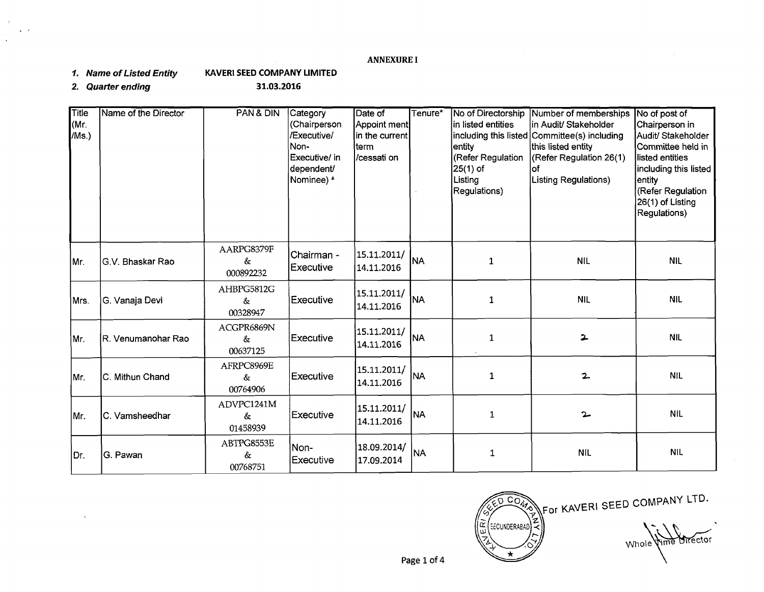# **ANNEXURE I**

**I. Name of Listed Entity KAVERI SEED COMPANY LIMITED** 

**2. Quarter ending 31.03.2016** 

| Title<br>(Mr.<br>/Ms.) | Name of the Director | PAN& DIN                       | Category<br>(Chairperson<br>/Executive/<br>Non-<br>Executive/ in<br>dependent/<br>Nominee) <sup>&amp;</sup> | Date of<br>Appoint ment<br>in the current<br>lterm<br>/cessati on | Tenure*   | No of Directorship<br>in listed entities<br> including this listed <br>lentitv<br>(Refer Regulation<br>$25(1)$ of<br>Listing<br>Regulations) | Number of memberships<br>in Audit/ Stakeholder<br>Committee(s) including<br>this listed entity<br>(Refer Regulation 26(1)<br>lof<br>Listing Regulations) | No of post of<br>Chairperson in<br>Audit/ Stakeholder<br>Committee held in<br>listed entities<br>Including this listed<br>entity<br>(Refer Regulation<br>26(1) of Listing<br>Regulations) |
|------------------------|----------------------|--------------------------------|-------------------------------------------------------------------------------------------------------------|-------------------------------------------------------------------|-----------|----------------------------------------------------------------------------------------------------------------------------------------------|----------------------------------------------------------------------------------------------------------------------------------------------------------|-------------------------------------------------------------------------------------------------------------------------------------------------------------------------------------------|
| Mr.                    | G.V. Bhaskar Rao     | AARPG8379F<br>&<br>000892232   | Chairman -<br><b>Executive</b>                                                                              | 15.11.2011/<br>14.11.2016                                         | <b>NA</b> | $\mathbf{1}$                                                                                                                                 | <b>NIL</b>                                                                                                                                               | <b>NIL</b>                                                                                                                                                                                |
| Mrs.                   | ∣G. Vanaja Devi      | AHBPG5812G<br>$\&$<br>00328947 | Executive                                                                                                   | 15.11.2011/<br>14.11.2016                                         | <b>NA</b> | $\mathbf{1}$                                                                                                                                 | <b>NIL</b>                                                                                                                                               | NIL.                                                                                                                                                                                      |
| IMr.                   | IR. Venumanohar Rao  | ACGPR6869N<br>&<br>00637125    | Executive                                                                                                   | 15.11.2011/<br>14.11.2016                                         | <b>NA</b> | $\mathbf{1}$                                                                                                                                 | $\overline{\mathbf{z}}$                                                                                                                                  | <b>NIL</b>                                                                                                                                                                                |
| Mr.                    | C. Mithun Chand      | AFRPC8969E<br>&<br>00764906    | Executive                                                                                                   | 15.11.2011/<br>14.11.2016                                         | <b>NA</b> | $\mathbf 1$                                                                                                                                  | $\overline{2}$                                                                                                                                           | <b>NIL</b>                                                                                                                                                                                |
| Mr.                    | C. Vamsheedhar       | ADVPC1241M<br>&<br>01458939    | Executive                                                                                                   | 15.11.2011/<br>14.11.2016                                         | <b>NA</b> | $\mathbf{1}$                                                                                                                                 | $\sim$                                                                                                                                                   | <b>NIL</b>                                                                                                                                                                                |
| Dr.                    | G. Pawan             | ABTPG8553E<br>&<br>00768751    | Non-<br>Executive                                                                                           | 18.09.2014/<br>17.09.2014                                         | <b>NA</b> | 1                                                                                                                                            | <b>NIL</b>                                                                                                                                               | <b>NIL</b>                                                                                                                                                                                |

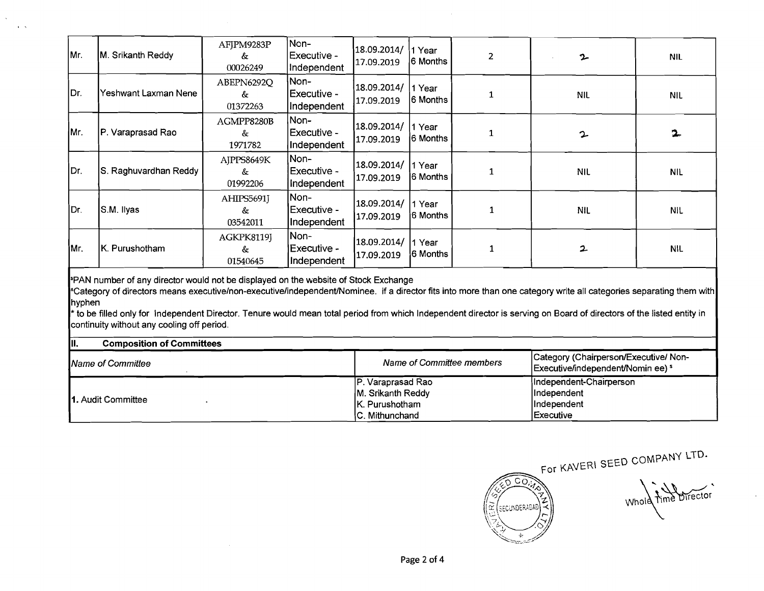| Mr.    | M. Srikanth Reddy                                                                                                                                                                                                                                                                                                                                                                                                                                                            | AFJPM9283P<br>&<br>00026249 | Non-<br>Executive -<br>Independent | 18.09.2014/<br>17.09.2019                                                  | 1 Year<br>6 Months         | $\overline{2}$            | 2                                                                           | <b>NIL</b> |
|--------|------------------------------------------------------------------------------------------------------------------------------------------------------------------------------------------------------------------------------------------------------------------------------------------------------------------------------------------------------------------------------------------------------------------------------------------------------------------------------|-----------------------------|------------------------------------|----------------------------------------------------------------------------|----------------------------|---------------------------|-----------------------------------------------------------------------------|------------|
| Dr.    | Yeshwant Laxman Nene                                                                                                                                                                                                                                                                                                                                                                                                                                                         | ABEPN6292Q<br>&<br>01372263 | Non-<br>Executive -<br>Independent | 18.09.2014/<br>17.09.2019                                                  | ∣1 Year<br>6 Months        | 1                         | <b>NIL</b>                                                                  | <b>NIL</b> |
| Mr.    | P. Varaprasad Rao                                                                                                                                                                                                                                                                                                                                                                                                                                                            | AGMPP8280B<br>&<br>1971782  | Non-<br>Executive -<br>Independent | 18.09.2014/<br>17.09.2019                                                  | 1 Year<br>6 Months         | 1                         | 2                                                                           | 2.         |
| Dr.    | S. Raghuvardhan Reddy                                                                                                                                                                                                                                                                                                                                                                                                                                                        | AJPPS8649K<br>&<br>01992206 | Non-<br>Executive -<br>Independent | 18.09.2014/<br>17.09.2019                                                  | 1 Year<br><b>16 Months</b> | $\mathbf{1}$              | <b>NIL</b>                                                                  | <b>NIL</b> |
| IDr.   | S.M. Ilyas                                                                                                                                                                                                                                                                                                                                                                                                                                                                   | AHIPS5691J<br>&<br>03542011 | Non-<br>Executive -<br>Independent | 18.09.2014/<br>17.09.2019                                                  | 1 Year<br>6 Months         | 1                         | <b>NIL</b>                                                                  | <b>NIL</b> |
| İMr.   | K. Purushotham                                                                                                                                                                                                                                                                                                                                                                                                                                                               | AGKPK8119J<br>&<br>01540645 | Non-<br>Executive -<br>Independent | 18.09.2014/<br>17.09.2019                                                  | 1 Year<br>l6 Months        | $\mathbf{1}$              | 2                                                                           | <b>NIL</b> |
| hyphen | PAN number of any director would not be displayed on the website of Stock Exchange<br>Category of directors means executive/non-executive/independent/Nominee. if a director fits into more than one category write all categories separating them with<br>to be filled only for Independent Director. Tenure would mean total period from which Independent director is serving on Board of directors of the listed entity in<br>continuity without any cooling off period. |                             |                                    |                                                                            |                            |                           |                                                                             |            |
| III.   | <b>Composition of Committees</b>                                                                                                                                                                                                                                                                                                                                                                                                                                             |                             |                                    |                                                                            |                            |                           |                                                                             |            |
|        | Name of Committee                                                                                                                                                                                                                                                                                                                                                                                                                                                            |                             |                                    |                                                                            |                            | Name of Committee members | Category (Chairperson/Executive/ Non-<br>Executive/independent/Nomin ee) \$ |            |
|        | 1. Audit Committee                                                                                                                                                                                                                                                                                                                                                                                                                                                           |                             |                                    | P. Varaprasad Rao<br>M. Srikanth Reddy<br>K. Purushotham<br>C. Mithunchand |                            |                           | Independent-Chairperson<br>Independent<br>Independent<br><b>Executive</b>   |            |

 $\frac{1}{2} \sum_{\mathbf{k} \in \mathcal{K}}$ 



Whole Time Director

 $\frac{1}{\sqrt{2}}$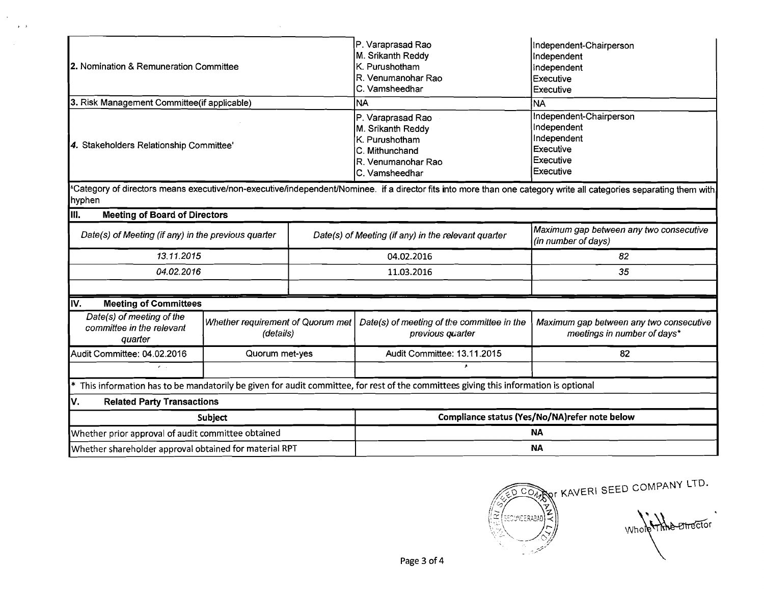| 2. Nomination & Remuneration Committee                            |                                                    |                                                                                                                       | P. Varaprasad Rao<br>M. Srikanth Reddy<br>K. Purushotham<br>R. Venumanohar Rao<br>C. Vamsheedhar                                    | Independent-Chairperson<br>Independent<br>Independent<br>Executive<br>Executive                                                                                   |  |  |
|-------------------------------------------------------------------|----------------------------------------------------|-----------------------------------------------------------------------------------------------------------------------|-------------------------------------------------------------------------------------------------------------------------------------|-------------------------------------------------------------------------------------------------------------------------------------------------------------------|--|--|
| 3. Risk Management Committee(if applicable)                       |                                                    |                                                                                                                       | INA                                                                                                                                 | <b>NA</b>                                                                                                                                                         |  |  |
| 4. Stakeholders Relationship Committee'                           |                                                    | P. Varaprasad Rao<br>M. Srikanth Reddy<br>K. Purushotham<br>IC. Mithunchand<br>IR. Venumanohar Rao<br>IC. Vamsheedhar | Independent-Chairperson<br>Independent<br>Independent<br>Executive<br><b>Executive</b><br>Executive                                 |                                                                                                                                                                   |  |  |
| hyphen                                                            |                                                    |                                                                                                                       |                                                                                                                                     | Category of directors means executive/non-executive/independent/Nominee. if a director fits into more than one category write all categories separating them with |  |  |
| III.<br><b>Meeting of Board of Directors</b>                      |                                                    |                                                                                                                       |                                                                                                                                     |                                                                                                                                                                   |  |  |
| Date(s) of Meeting (if any) in the previous quarter               |                                                    |                                                                                                                       | Date(s) of Meeting (if any) in the relevant quarter                                                                                 | Maximum gap between any two consecutive<br>(in number of days)                                                                                                    |  |  |
| 13.11.2015                                                        |                                                    |                                                                                                                       | 04.02.2016                                                                                                                          | 82                                                                                                                                                                |  |  |
| 04.02.2016                                                        |                                                    |                                                                                                                       | 11.03.2016                                                                                                                          | 35                                                                                                                                                                |  |  |
|                                                                   |                                                    |                                                                                                                       |                                                                                                                                     |                                                                                                                                                                   |  |  |
| <b>Meeting of Committees</b><br>IV.                               |                                                    |                                                                                                                       |                                                                                                                                     |                                                                                                                                                                   |  |  |
| Date(s) of meeting of the<br>committee in the relevant<br>quarter | Whether requirement of Quorum met<br>(details)     |                                                                                                                       | Date(s) of meeting of the committee in the<br>previous quarter                                                                      | Maximum gap between any two consecutive<br>meetings in number of days*                                                                                            |  |  |
| Audit Committee: 04.02.2016                                       | Quorum met-yes                                     |                                                                                                                       | Audit Committee: 13.11.2015                                                                                                         | 82                                                                                                                                                                |  |  |
| $\mathcal{E}=\mathcal{E}$                                         |                                                    |                                                                                                                       |                                                                                                                                     |                                                                                                                                                                   |  |  |
| *                                                                 |                                                    |                                                                                                                       | This information has to be mandatorily be given for audit committee, for rest of the committees giving this information is optional |                                                                                                                                                                   |  |  |
| ۷.<br><b>Related Party Transactions</b>                           |                                                    |                                                                                                                       |                                                                                                                                     |                                                                                                                                                                   |  |  |
|                                                                   | Subject                                            |                                                                                                                       |                                                                                                                                     | Compliance status (Yes/No/NA)refer note below                                                                                                                     |  |  |
|                                                                   | Whether prior approval of audit committee obtained |                                                                                                                       | NA                                                                                                                                  |                                                                                                                                                                   |  |  |
| Whether shareholder approval obtained for material RPT            |                                                    | <b>NA</b>                                                                                                             |                                                                                                                                     |                                                                                                                                                                   |  |  |

 $\sim 10^7$ 

 $\langle \cdot \rangle$  $\sim$   $\sim$ 

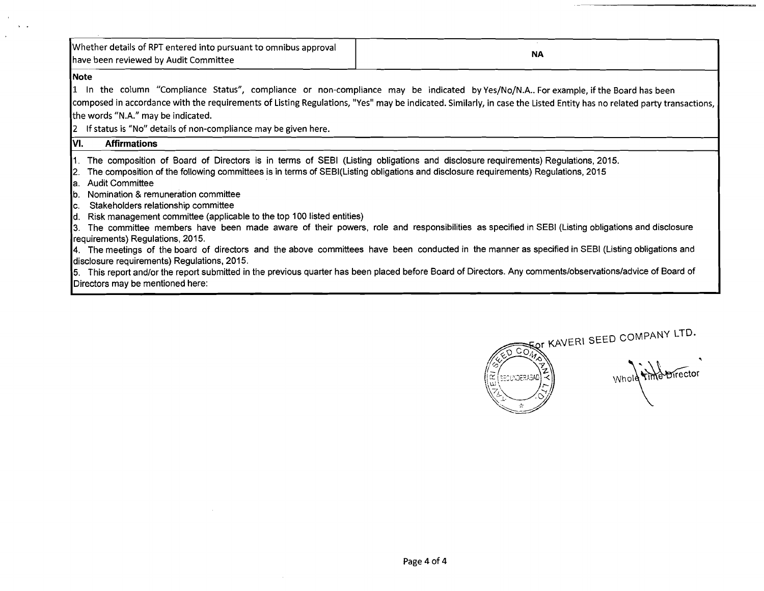| Whether details of RPT entered into pursuant to omnibus approval<br>have been reviewed by Audit Committee                                                                                                                                                                                                                                                                                                                                                                                                                                                                                | <b>NA</b>                                                                                                                                                                                                                                                                                                                                                                                                                                                             |
|------------------------------------------------------------------------------------------------------------------------------------------------------------------------------------------------------------------------------------------------------------------------------------------------------------------------------------------------------------------------------------------------------------------------------------------------------------------------------------------------------------------------------------------------------------------------------------------|-----------------------------------------------------------------------------------------------------------------------------------------------------------------------------------------------------------------------------------------------------------------------------------------------------------------------------------------------------------------------------------------------------------------------------------------------------------------------|
| Note<br>the words "N.A." may be indicated.                                                                                                                                                                                                                                                                                                                                                                                                                                                                                                                                               | 1 In the column "Compliance Status", compliance or non-compliance may be indicated by Yes/No/N.A Forexample, if the Board has been<br>composed in accordance with the requirements of Listing Regulations, "Yes" may be indicated. Similarly, in case the Listed Entity has no related party transactions,                                                                                                                                                            |
| 2 If status is "No" details of non-compliance may be given here.<br>VI.<br><b>Affirmations</b>                                                                                                                                                                                                                                                                                                                                                                                                                                                                                           |                                                                                                                                                                                                                                                                                                                                                                                                                                                                       |
| 1. The composition of Board of Directors is in terms of SEBI (Listing obligations and disclosure requirements) Regulations, 2015.<br>The composition of the following committees is in terms of SEBI(Listing obligations and disclosure requirements) Regulations, 2015<br>a. Audit Committee<br>Nomination & remuneration committee<br>lb.<br>c. Stakeholders relationship committee<br>d. Risk management committee (applicable to the top 100 listed entities)<br>requirements) Regulations, 2015.<br>disclosure requirements) Regulations, 2015.<br>Directors may be mentioned here: | 3. The committee members have been made aware of their powers, role and responsibilities as specified in SEBI (Listing obligations and disclosure<br>4. The meetings of the board of directors and the above committees have been conducted in the manner as specified in SEBI (Listing obligations and<br>5. This report and/or the report submitted in the previous quarter has been placed before Board of Directors. Any comments/observations/advice of Board of |

 $\sim$  $\sim 100$  km s  $^{-1}$  $\mathcal{L}$ 



 $\sim 10^7$